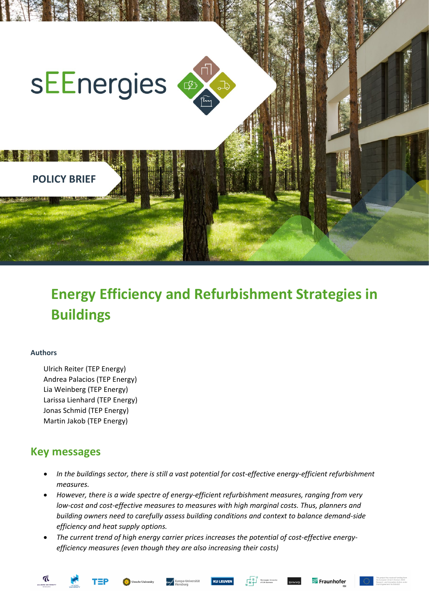

# **Energy Efficiency and Refurbishment Strategies in Buildings**

#### **Authors**

Ulrich Reiter (TEP Energy) Andrea Palacios (TEP Energy) Lia Weinberg (TEP Energy) Larissa Lienhard (TEP Energy) Jonas Schmid (TEP Energy) Martin Jakob (TEP Energy)

# **Key messages**

- *In the buildings sector, there is still a vast potential for cost-effective energy-efficient refurbishment measures.*
- *However, there is a wide spectre of energy-efficient refurbishment measures, ranging from very low-cost and cost-effective measures to measures with high marginal costs. Thus, planners and building owners need to carefully assess building conditions and context to balance demand-side efficiency and heat supply options.*
- *The current trend of high energy carrier prices increases the potential of cost-effective energyefficiency measures (even though they are also increasing their costs)*





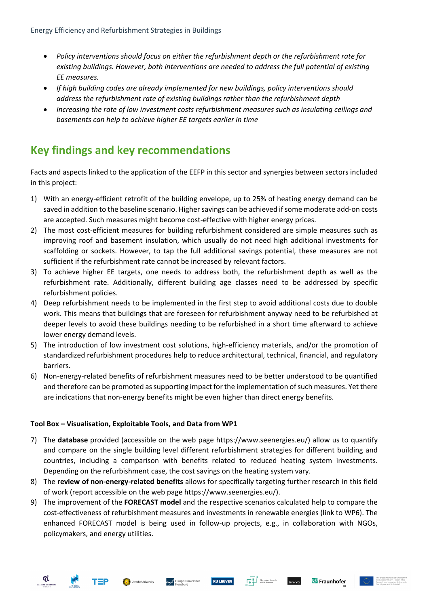- *Policy interventions should focus on either the refurbishment depth or the refurbishment rate for existing buildings. However, both interventions are needed to address the full potential of existing EE measures.*
- *If high building codes are already implemented for new buildings, policy interventions should address the refurbishment rate of existing buildings rather than the refurbishment depth*
- *Increasing the rate of low investment costs refurbishment measures such as insulating ceilings and basements can help to achieve higher EE targets earlier in time*

# **Key findings and key recommendations**

Facts and aspects linked to the application of the EEFP in this sector and synergies between sectors included in this project:

- 1) With an energy-efficient retrofit of the building envelope, up to 25% of heating energy demand can be saved in addition to the baseline scenario. Higher savings can be achieved if some moderate add-on costs are accepted. Such measures might become cost-effective with higher energy prices.
- 2) The most cost-efficient measures for building refurbishment considered are simple measures such as improving roof and basement insulation, which usually do not need high additional investments for scaffolding or sockets. However, to tap the full additional savings potential, these measures are not sufficient if the refurbishment rate cannot be increased by relevant factors.
- 3) To achieve higher EE targets, one needs to address both, the refurbishment depth as well as the refurbishment rate. Additionally, different building age classes need to be addressed by specific refurbishment policies.
- 4) Deep refurbishment needs to be implemented in the first step to avoid additional costs due to double work. This means that buildings that are foreseen for refurbishment anyway need to be refurbished at deeper levels to avoid these buildings needing to be refurbished in a short time afterward to achieve lower energy demand levels.
- 5) The introduction of low investment cost solutions, high-efficiency materials, and/or the promotion of standardized refurbishment procedures help to reduce architectural, technical, financial, and regulatory barriers.
- 6) Non-energy-related benefits of refurbishment measures need to be better understood to be quantified and therefore can be promoted as supporting impact for the implementation of such measures. Yet there are indications that non-energy benefits might be even higher than direct energy benefits.

#### **Tool Box – Visualisation, Exploitable Tools, and Data from WP1**

- 7) The **database** provided (accessible on the web page https://www.seenergies.eu/) allow us to quantify and compare on the single building level different refurbishment strategies for different building and countries, including a comparison with benefits related to reduced heating system investments. Depending on the refurbishment case, the cost savings on the heating system vary.
- 8) The **review of non-energy-related benefits** allows for specifically targeting further research in this field of work (report accessible on the web page https://www.seenergies.eu/).
- 9) The improvement of the **FORECAST model** and the respective scenarios calculated help to compare the cost-effectiveness of refurbishment measures and investments in renewable energies (link to WP6). The enhanced FORECAST model is being used in follow-up projects, e.g., in collaboration with NGOs, policymakers, and energy utilities.